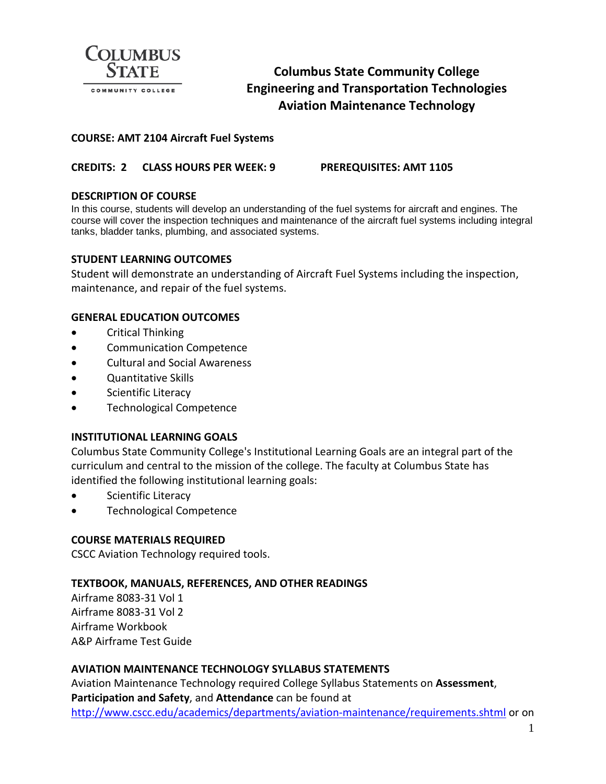

# **Columbus State Community College Engineering and Transportation Technologies Aviation Maintenance Technology**

# **COURSE: AMT 2104 Aircraft Fuel Systems**

# **CREDITS: 2 CLASS HOURS PER WEEK: 9 PREREQUISITES: AMT 1105**

### **DESCRIPTION OF COURSE**

In this course, students will develop an understanding of the fuel systems for aircraft and engines. The course will cover the inspection techniques and maintenance of the aircraft fuel systems including integral tanks, bladder tanks, plumbing, and associated systems.

# **STUDENT LEARNING OUTCOMES**

Student will demonstrate an understanding of Aircraft Fuel Systems including the inspection, maintenance, and repair of the fuel systems.

# **GENERAL EDUCATION OUTCOMES**

- Critical Thinking
- Communication Competence
- Cultural and Social Awareness
- Quantitative Skills
- Scientific Literacy
- Technological Competence

#### **INSTITUTIONAL LEARNING GOALS**

Columbus State Community College's Institutional Learning Goals are an integral part of the curriculum and central to the mission of the college. The faculty at Columbus State has identified the following institutional learning goals:

- Scientific Literacy
- Technological Competence

#### **COURSE MATERIALS REQUIRED**

CSCC Aviation Technology required tools.

#### **TEXTBOOK, MANUALS, REFERENCES, AND OTHER READINGS**

Airframe 8083-31 Vol 1 Airframe 8083-31 Vol 2 Airframe Workbook A&P Airframe Test Guide

# **AVIATION MAINTENANCE TECHNOLOGY SYLLABUS STATEMENTS**

Aviation Maintenance Technology required College Syllabus Statements on **Assessment**, **Participation and Safety**, and **Attendance** can be found at <http://www.cscc.edu/academics/departments/aviation-maintenance/requirements.shtml> or on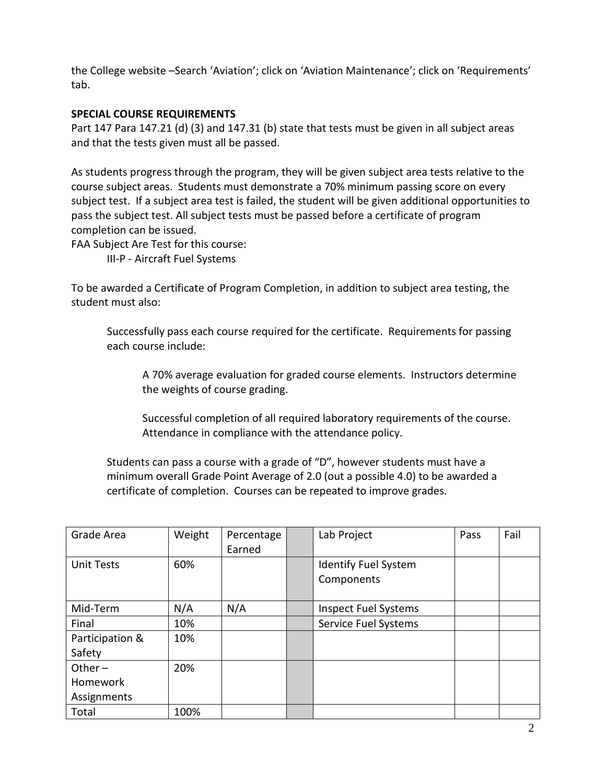the College website –Search 'Aviation'; click on 'Aviation Maintenance'; click on 'Requirements' tab.

# **SPECIAL COURSE REQUIREMENTS**

Part 147 Para 147.21 (d) (3) and 147.31 (b) state that tests must be given in all subject areas and that the tests given must all be passed.

As students progress through the program, they will be given subject area tests relative to the course subject areas. Students must demonstrate a 70% minimum passing score on every subject test. If a subject area test is failed, the student will be given additional opportunities to pass the subject test. All subject tests must be passed before a certificate of program completion can be issued.

FAA Subject Are Test for this course:

III-P - Aircraft Fuel Systems

To be awarded a Certificate of Program Completion, in addition to subject area testing, the student must also:

Successfully pass each course required for the certificate. Requirements for passing each course include:

A 70% average evaluation for graded course elements. Instructors determine the weights of course grading.

Successful completion of all required laboratory requirements of the course. Attendance in compliance with the attendance policy.

Students can pass a course with a grade of "D", however students must have a minimum overall Grade Point Average of 2.0 (out a possible 4.0) to be awarded a certificate of completion. Courses can be repeated to improve grades.

| Grade Area                | Weight | Percentage<br>Earned | Lab Project                               | Pass | Fail |
|---------------------------|--------|----------------------|-------------------------------------------|------|------|
| <b>Unit Tests</b>         | 60%    |                      | <b>Identify Fuel System</b><br>Components |      |      |
| Mid-Term                  | N/A    | N/A                  | <b>Inspect Fuel Systems</b>               |      |      |
| Final                     | 10%    |                      | Service Fuel Systems                      |      |      |
| Participation &<br>Safety | 10%    |                      |                                           |      |      |
| Other $-$                 | 20%    |                      |                                           |      |      |
| Homework                  |        |                      |                                           |      |      |
| Assignments               |        |                      |                                           |      |      |
| Total                     | 100%   |                      |                                           |      |      |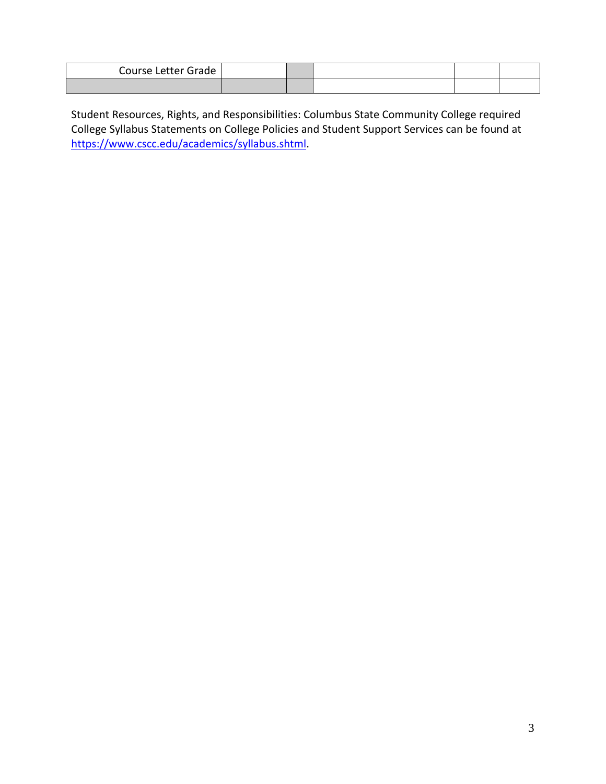| Course Letter Grade |  |  |  |
|---------------------|--|--|--|
|                     |  |  |  |

Student Resources, Rights, and Responsibilities: Columbus State Community College required College Syllabus Statements on College Policies and Student Support Services can be found at [https://www.cscc.edu/academics/syllabus.shtml.](https://www.cscc.edu/academics/syllabus.shtml)